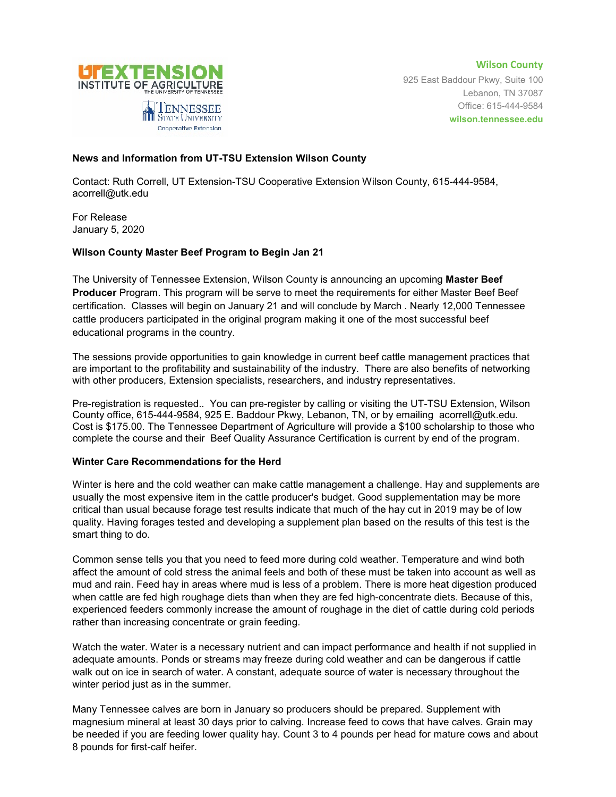

**Wilson County** 925 East Baddour Pkwy, Suite 100 Lebanon, TN 37087 Office: 615-444-9584 **wilson.tennessee.edu**

## **News and Information from UT-TSU Extension Wilson County**

Contact: Ruth Correll, UT Extension-TSU Cooperative Extension Wilson County, 615-444-9584, acorrell@utk.edu

For Release January 5, 2020

## **Wilson County Master Beef Program to Begin Jan 21**

The University of Tennessee Extension, Wilson County is announcing an upcoming **Master Beef Producer** Program. This program will be serve to meet the requirements for either Master Beef Beef certification. Classes will begin on January 21 and will conclude by March . Nearly 12,000 Tennessee cattle producers participated in the original program making it one of the most successful beef educational programs in the country.

The sessions provide opportunities to gain knowledge in current beef cattle management practices that are important to the profitability and sustainability of the industry. There are also benefits of networking with other producers, Extension specialists, researchers, and industry representatives.

Pre-registration is requested.. You can pre-register by calling or visiting the UT-TSU Extension, Wilson County office, 615-444-9584, 925 E. Baddour Pkwy, Lebanon, TN, or by emailing [acorrell@utk.edu.](mailto:acorrell@utk.edu) Cost is \$175.00. The Tennessee Department of Agriculture will provide a \$100 scholarship to those who complete the course and their Beef Quality Assurance Certification is current by end of the program.

## **Winter Care Recommendations for the Herd**

Winter is here and the cold weather can make cattle management a challenge. Hay and supplements are usually the most expensive item in the cattle producer's budget. Good supplementation may be more critical than usual because forage test results indicate that much of the hay cut in 2019 may be of low quality. Having forages tested and developing a supplement plan based on the results of this test is the smart thing to do.

Common sense tells you that you need to feed more during cold weather. Temperature and wind both affect the amount of cold stress the animal feels and both of these must be taken into account as well as mud and rain. Feed hay in areas where mud is less of a problem. There is more heat digestion produced when cattle are fed high roughage diets than when they are fed high-concentrate diets. Because of this, experienced feeders commonly increase the amount of roughage in the diet of cattle during cold periods rather than increasing concentrate or grain feeding.

Watch the water. Water is a necessary nutrient and can impact performance and health if not supplied in adequate amounts. Ponds or streams may freeze during cold weather and can be dangerous if cattle walk out on ice in search of water. A constant, adequate source of water is necessary throughout the winter period just as in the summer.

Many Tennessee calves are born in January so producers should be prepared. Supplement with magnesium mineral at least 30 days prior to calving. Increase feed to cows that have calves. Grain may be needed if you are feeding lower quality hay. Count 3 to 4 pounds per head for mature cows and about 8 pounds for first-calf heifer.